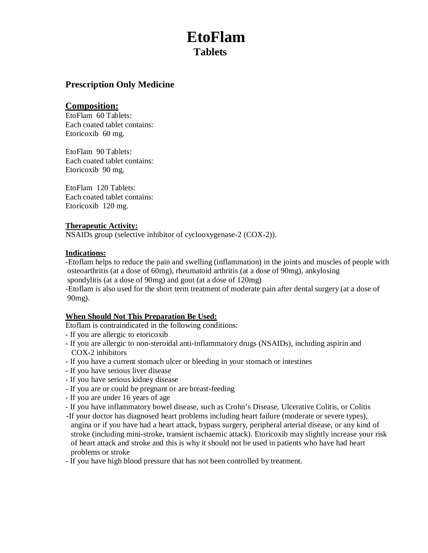# **EtoFlam Tablets**

# **Prescription Only Medicine**

# **Composition:**

EtoFlam 60 Tablets: Each coated tablet contains: Etoricoxib 60 mg.

EtoFlam 90 Tablets: Each coated tablet contains: Etoricoxib 90 mg.

EtoFlam 120 Tablets: Each coated tablet contains: Etoricoxib 120 mg.

#### **Therapeutic Activity:**

NSAIDs group (selective inhibitor of cyclooxygenase-2 (COX-2)).

#### **Indications:**

 -Etoflam helps to reduce the pain and swelling (inflammation) in the joints and muscles of people with osteoarthritis (at a dose of 60mg), rheumatoid arthritis (at a dose of 90mg), ankylosing

spondylitis (at a dose of 90mg) and gout (at a dose of 120mg)

-Etoflam is also used for the short term treatment of moderate pain after dental surgery (at a dose of 90mg).

#### **When Should Not This Preparation Be Used:**

Etoflam is contraindicated in the following conditions:

- If you are allergic to etoricoxib
- If you are allergic to non-steroidal anti-inflammatory drugs (NSAIDs), including aspirin and COX-2 inhibitors
- If you have a current stomach ulcer or bleeding in your stomach or intestines
- If you have serious liver disease
- If you have serious kidney disease
- If you are or could be pregnant or are breast-feeding
- If you are under 16 years of age
- If you have inflammatory bowel disease, such as Crohn's Disease, Ulcerative Colitis, or Colitis
- -If your doctor has diagnosed heart problems including heart failure (moderate or severe types), angina or if you have had a heart attack, bypass surgery, peripheral arterial disease, or any kind of stroke (including mini-stroke, transient ischaemic attack). Etoricoxib may slightly increase your risk of heart attack and stroke and this is why it should not be used in patients who have had heart problems or stroke
- If you have high blood pressure that has not been controlled by treatment.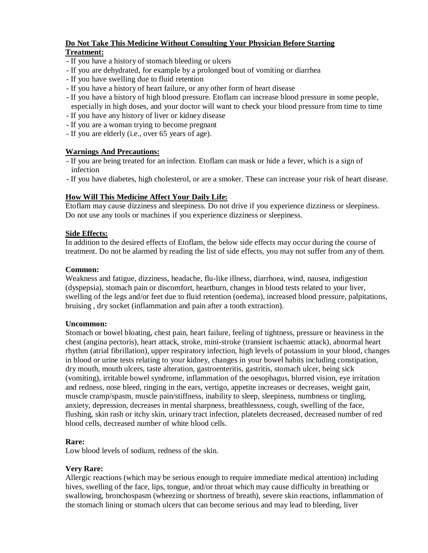# **Do Not Take This Medicine Without Consulting Your Physician Before Starting Treatment:**

- If you have a history of stomach bleeding or ulcers
- If you are dehydrated, for example by a prolonged bout of vomiting or diarrhea
- If you have swelling due to fluid retention
- If you have a history of heart failure, or any other form of heart disease
- If you have a history of high blood pressure. Etoflam can increase blood pressure in some people, especially in high doses, and your doctor will want to check your blood pressure from time to time
- If you have any history of liver or kidney disease
- If you are a woman trying to become pregnant
- If you are elderly (i.e., over 65 years of age).

#### **Warnings And Precautions:**

- If you are being treated for an infection. Etoflam can mask or hide a fever, which is a sign of infection
- If you have diabetes, high cholesterol, or are a smoker. These can increase your risk of heart disease.

# **How Will This Medicine Affect Your Daily Life:**

Etoflam may cause dizziness and sleepiness. Do not drive if you experience dizziness or sleepiness. Do not use any tools or machines if you experience dizziness or sleepiness.

#### **Side Effects:**

In addition to the desired effects of Etoflam, the below side effects may occur during the course of treatment. Do not be alarmed by reading the list of side effects, you may not suffer from any of them.

#### **Common:**

Weakness and fatigue, dizziness, headache, flu-like illness, diarrhoea, wind, nausea, indigestion (dyspepsia), stomach pain or discomfort, heartburn, changes in blood tests related to your liver, swelling of the legs and/or feet due to fluid retention (oedema), increased blood pressure, palpitations, bruising , dry socket (inflammation and pain after a tooth extraction).

#### **Uncommon:**

Stomach or bowel bloating, chest pain, heart failure, feeling of tightness, pressure or heaviness in the chest (angina pectoris), heart attack, stroke, mini-stroke (transient ischaemic attack), abnormal heart rhythm (atrial fibrillation), upper respiratory infection, high levels of potassium in your blood, changes in blood or urine tests relating to your kidney, changes in your bowel habits including constipation, dry mouth, mouth ulcers, taste alteration, gastroenteritis, gastritis, stomach ulcer, being sick (vomiting), irritable bowel syndrome, inflammation of the oesophagus, blurred vision, eye irritation and redness, nose bleed, ringing in the ears, vertigo, appetite increases or decreases, weight gain, muscle cramp/spasm, muscle pain/stiffness, inability to sleep, sleepiness, numbness or tingling, anxiety, depression, decreases in mental sharpness, breathlessness, cough, swelling of the face, flushing, skin rash or itchy skin, urinary tract infection, platelets decreased, decreased number of red blood cells, decreased number of white blood cells.

#### **Rare:**

Low blood levels of sodium, redness of the skin.

#### **Very Rare:**

Allergic reactions (which may be serious enough to require immediate medical attention) including hives, swelling of the face, lips, tongue, and/or throat which may cause difficulty in breathing or swallowing, bronchospasm (wheezing or shortness of breath), severe skin reactions, inflammation of the stomach lining or stomach ulcers that can become serious and may lead to bleeding, liver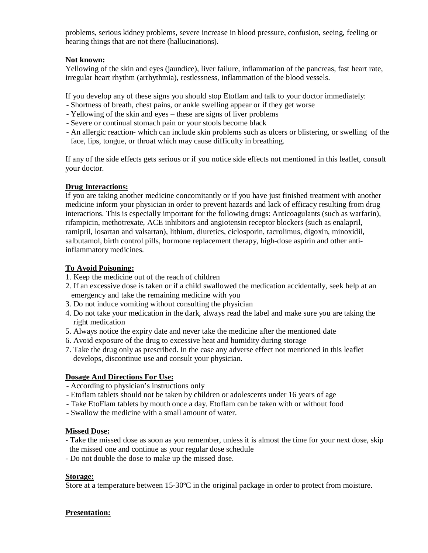problems, serious kidney problems, severe increase in blood pressure, confusion, seeing, feeling or hearing things that are not there (hallucinations).

#### **Not known:**

Yellowing of the skin and eyes (jaundice), liver failure, inflammation of the pancreas, fast heart rate, irregular heart rhythm (arrhythmia), restlessness, inflammation of the blood vessels.

If you develop any of these signs you should stop Etoflam and talk to your doctor immediately:

- Shortness of breath, chest pains, or ankle swelling appear or if they get worse
- Yellowing of the skin and eyes these are signs of liver problems
- Severe or continual stomach pain or your stools become black
- An allergic reaction- which can include skin problems such as ulcers or blistering, or swelling of the face, lips, tongue, or throat which may cause difficulty in breathing.

If any of the side effects gets serious or if you notice side effects not mentioned in this leaflet, consult your doctor.

# **Drug Interactions:**

If you are taking another medicine concomitantly or if you have just finished treatment with another medicine inform your physician in order to prevent hazards and lack of efficacy resulting from drug interactions. This is especially important for the following drugs: Anticoagulants (such as warfarin), rifampicin, methotrexate, ACE inhibitors and angiotensin receptor blockers (such as enalapril, ramipril, losartan and valsartan), lithium, diuretics, ciclosporin, tacrolimus, digoxin, minoxidil, salbutamol, birth control pills, hormone replacement therapy, high-dose aspirin and other antiinflammatory medicines.

#### **To Avoid Poisoning:**

- 1. Keep the medicine out of the reach of children
- 2. If an excessive dose is taken or if a child swallowed the medication accidentally, seek help at an emergency and take the remaining medicine with you
- 3. Do not induce vomiting without consulting the physician
- 4. Do not take your medication in the dark, always read the label and make sure you are taking the right medication
- 5. Always notice the expiry date and never take the medicine after the mentioned date
- 6. Avoid exposure of the drug to excessive heat and humidity during storage
- 7. Take the drug only as prescribed. In the case any adverse effect not mentioned in this leaflet develops, discontinue use and consult your physician.

# **Dosage And Directions For Use:**

- According to physician's instructions only
- Etoflam tablets should not be taken by children or adolescents under 16 years of age
- Take EtoFlam tablets by mouth once a day. Etoflam can be taken with or without food
- Swallow the medicine with a small amount of water.

#### **Missed Dose:**

- Take the missed dose as soon as you remember, unless it is almost the time for your next dose, skip the missed one and continue as your regular dose schedule
- Do not double the dose to make up the missed dose.

#### **Storage:**

Store at a temperature between 15-30ºC in the original package in order to protect from moisture.

# **Presentation:**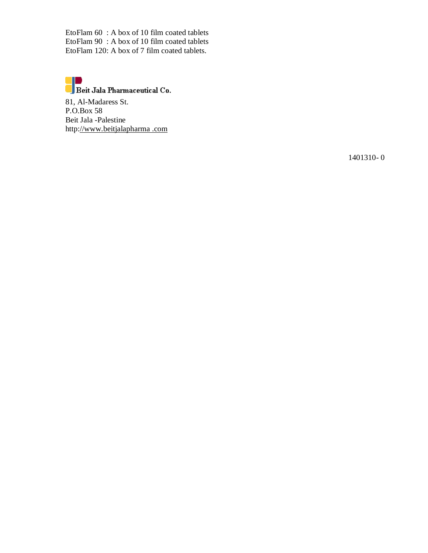EtoFlam 60 : A box of 10 film coated tablets EtoFlam 90 : A box of 10 film coated tablets EtoFlam 120: A box of 7 film coated tablets.

# **OD**<br>Beit Jala Pharmaceutical Co.

81, Al-Madaress St. P.O.Box 58 Beit Jala -Palestine http://www.beitjalapharma .com

1401310- 0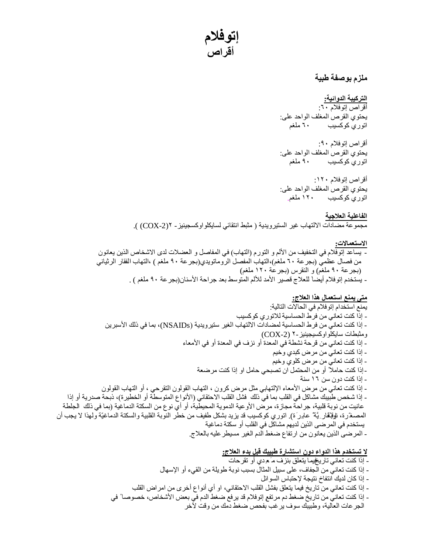**إتوفلام أقراص**

# **ملزم بوصفة طبیة**

**التركیبة الدوائیة:**  أقراص إتوفلام :٦٠ یحتوي القرص المغلف الواحد على: اتوري كوكسیب ٦٠ ملغم

أقراص إتوفلام :٩٠ یحتوي القرص المغلف الواحد على: اتوري كوكسیب ٩٠ ملغم

أقراص إتوفلام :١٢٠ یحتوي القرص المغلف الواحد على: اتوري كوكسیب ١٢٠ ملغم.

**الفاعلیة العلاجیة**  مجموعة مضادات الالتھاب غیر الستیرویدیة ( مثبط انتقائي لسایكلواوكسجینیز- ٢(-2COX( (.

**الاستعمالات:**  - یساعد إتوفلام في التخفیف من الألم و التورم (التھاب) في المفاصل و العضلات لدى الاشخاص الذین یعانون من فصال عظمي (بجرعة ٦٠ ملغم)،التھاب المفصل الروماتویدي(بجرعة ٩٠ ملغم ) ،التھاب الفقار الرثیاني (بجرعة ٩٠ ملغم) و النقرس (بجرعة ١٢٠ ملغم) - یستخدم إتوفلام أیضاَ للعلاج قصیر الأمد للألم المتوسط بعد جراحة الأسنان(بجرعة ٩٠ ملغم ) .

# **متى یمنع استعمال ھذا العلاج:** یمنع استخدام إتوفلام في الحالات التالیة: - إذا كنت تعاني من فرط الحساسیة للاتوري كوكسیب - إذا كنت تعاني من فرط الحساسیة لمضادات الالتھاب الغیر ستیرویدیة (NSAIDs(، بما في ذلك الأسبرین ومثبطات سایكلواوكسیجینیز -٢ (COX-2) - إذا كنت تعاني من قرحة نشطة في المعدة أو نزف في المعدة أو في الأمعاء - إذا كنت تعاني من مرض كبدي وخیم - إذا كنت تعاني من مرض كلوي وخیم - إذا كنت دون سن ١٦ سنة-إذا كنت حاملا ً أو من المحتمل ان تصبحي حامل او إذا كنت مرضعة - إذا كنت تعاني من مرض الأمعاء الإلتھابي مثل مرض كرون ، التھاب القولون التقرحي ، أو التھاب القولون - إذا شخص طبیبك مشاكل في القلب بما في ذلك فشل القلب الاحتقاني (الأنواع المتوسطة أو الخطیرة)، ذبحة صدریة أو إذا عانیت من نوبة قلبیة، جراحة مجازة، مرض الأوعیة الدمویة المحیطیة، أو أي نوع من السكتة الدماغیة (بما في ذلك الجلطة المصغّرة، نلوقِنْقار ِیَّة ٌ عابرِرَة). اتوري كوكسیب قد یزید بشكل طفیف من خطر النّوبة القلبیة والسكتة الدماغیّة ولهذا لا یجب أن یستخدم في المرضى الذین لدیھم مشاكل في القلب أو سكتة دماغیة - المرضى الذین یعانون من ارتفاع ضغط الدم الغیر مسیطرعلیھ بالعلاج.

**لا تستخدم ھذا الدواء دون استشارة طبیبك قبل بدء العلاج:** - إذا كنت تعاني تاریخفیما یتعلق بنزف م َعِدي أو تقرحات - إذا كنت تعاني من الجفاف، على سبیل المثال بسبب نوبة طویلة من القيء أو الإسھال - إذا كان لدیك انتفاخ نتیجة لإحتباس السوائل - إذا كنت تعاني من تاریخ فیما یتعلق بفشل القلب الاحتقاني، او أي أنواع أخرى من امراض القلب - إذا كنت تعاني من تاریخ ضغط دم مرتفع. إتوفلام قد یرفع ضغط الدم في بعض الأشخاص، خصوصا ً في الجرعات العالیة، وطبیبك سوف یرغب بفحص ضغط دمك من وقت لآخر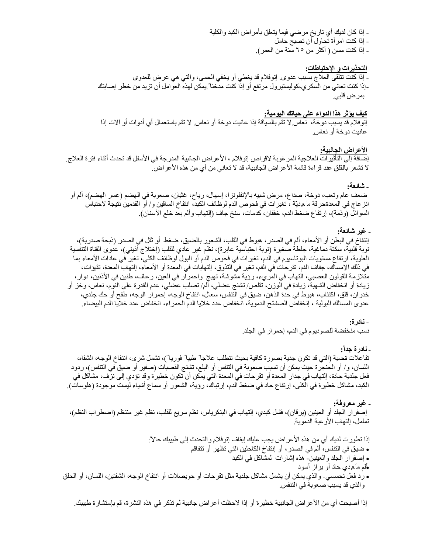- إذا كان لدیك أي تاریخ مرضي فیما یتعلق بأمراض الكبد والكلیة - إذا كنت امرأة تحاول أن تصبح حامل - إذا كنت مسن ( أكثر من ٦٥ سنة من العمر).

**التحذیرات و الإحتیاطات:** 

- إذا كنت تتلقى العلاج بسبب عدوى. إتوفلام قد یغطي أو یخفي الحمى، والتي ھي عرض للعدوى -إذا كنت تعاني من السكري،كولیستیرول مرتفع أو إذا كنت مدخنا .ًیمكن لھذه العوامل أن تزید من خطر إصابتك بمرض قلبي.

**كیف یؤثر ھذا الدواء على حیاتك الیومیة:** إتوفلام قد یسبب دوخة، نعاس.لا تقم بالسیاقة إذا عانیت دوخة أو نعاس. لا تقم باستعمال أي أدوات أو آلات إذا عانیت دوخة أو نعاس.

**الأعراض الجانبیة:**  إضافة إلى التأثیرات العلاجیة المرغوبة لاقراص إتوفلام ، الأعراض الجانبیة المدرجة في الأسفل قد تحدث أثناء فترة العلاج. لا تشعر بالقلق عند قراءة قائمة الأعراض الجانبیة، قد لا تعاني من أي من ھذه الأعراض.

 **- شائعة:**

 ضعف عام وتعب، دوخة، صداع، مرض شبیھ بالإنفلونزا، إسھال، ریاح، غثیان، صعوبة في الھضم (عسر الھضم)، ألم أو انزعاج في المعدة، حرقة م َعِدیّة ، تغیرات في فحوص الدم لوظائف الكبد، انتفاخ الساقین و/ أو القدمین نتیجة لاحتباس السوائل (وذمة)، إرتفاع ضغط الدم، خفقان، كدمات، سنخ جاف (إلتھاب وألم بعد خلع الأسنان).

 **- غیر شائعة:**

 إنتفاخ في البطن أو الأمعاء، ألم في الصدر، ھبوط في القلب، الشعور بالضیق، ضغط أو ثقل في الصدر (ذبحة صدریة)، نوبة قلبیة، سكتة دماغیة، جلطة صغیرة (نوبة احتباسیة عابرة)، نظم غیر عادي للقلب (إختلاج أذیني)، عدوى القناة التنفسیة العلویة، ارتفاع مستویات البوتاسیوم في الدم، تغیرات في فحوص الدم أو البول لوظائف الكلى، تغیر في عادات الأمعاء بما في ذلك الإمساك، جفاف الفم، تقرحات في الفم، تغیر في التذوق، إلتھابات في المعدة أو الأمعاء، إلتھاب المعدة، تقیؤات، متلازمة القولون العصبي، التھاب في المريء، رؤیة مشوشة، تھیج واحمرار في العین، رعاف، طنین في الأذنین، دوار، زیادة أو انخفاض الشھیة، زیادة في الوزن، تقلص/ تشنج عضلي، ألم/ تصلب عضلي، عدم القدرة على النوم، نعاس، وخز أو خدران، قلق، اكتئاب، ھبوط في حدة الذھن، ضیق في التنفس، سعال، انتفاخ الوجھ، إحمرار الوجھ، طفح أو حك جلدي، عدوى المسالك البولیة ، إنخفاض الصفائح الدمویة، انخفاض عدد خلایا الدم الحمراء، انخفاض عدد خلایا الدم البیضاء.

> **- نادرة:** نسب منخفضة للصودیوم في الدم، إحمرار في الجلد.

 **- نادرة جدا:ً** تفاعلات تحسسیة (التي قد تكون جدیة بصورة كافیة بحیث تتطلب علاجا ً طبیا ً فوریا ً)، تشمل شرى، انتفاخ الوجھ، الشفاه، اللسان، و/ أو الحنجرة حیث یمكن أن تسبب صعوبة في التنفس أو البلع، تشنج القصبات (صفیر أو ضیق في التنفس)، ردود فعل جلدیة حادة، إلتھاب في جدار المعدة أو تقرحات في المعدة التي یمكن أن تكون خطیرة وقد تؤدي إلى نزف، مشاكل في الكبد، مشاكل خطیرة في الكلى، إرتفاع حاد في ضغط الدم، إرتباك، رؤیة، الشعور أو سماع أشیاء لیست موجودة (ھلوسات).

 **- غیر معروفة:** إصفرار الجلد أو العینین (یرقان)، فشل كبدي، إلتھاب في البنكریاس، نظم سریع للقلب، نظم غیر منتظم (اضطراب النظم)، تململ، إلتھاب الأوعیة الدمویة.

 إذا تطورت لدیك أي من ھذه الأعراض یجب علیك إیقاف إتوفلام والتحدث إلى طبیبك حالا:ً ضیق في التنفس، ألم في الصدر، أو إنتفاخ الكاحلین التي تظھر أو تتفاقم إصفرار الجلد والعینین- ھذه إشارات لمشاكل في الكبد ألم م َعِدي حاد أو براز أسود رد فعل تحسسي- والذي یمكن أن یشمل مشاكل جلدیة مثل تقرحات أو حویصلات أو انتفاخ الوجھ، الشفتین، اللسان، أو الحلق والذي قد یسبب صعوبة في التنفس.

إذا أصبحت أي من الأعراض الجانبیة خطیرة أو إذا لاحظت أعراض جانبیة لم تذكر في ھذه النشرة، قم بإستشارة طبیبك.